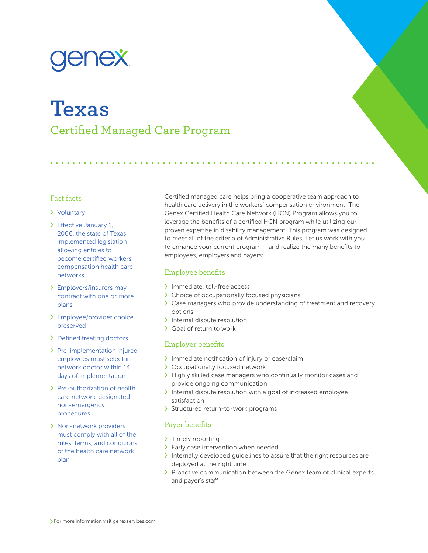# **Texas** Certified Managed Care Program

### Fast facts

### Voluntary

- Effective January 1, 2006, the state of Texas implemented legislation allowing entities to become certified workers compensation health care networks
- Employers/insurers may contract with one or more plans
- Employee/provider choice preserved
- > Defined treating doctors
- > Pre-implementation injured employees must select innetwork doctor within 14 days of implementation
- > Pre-authorization of health care network-designated non-emergency procedures
- Non-network providers must comply with all of the rules, terms, and conditions of the health care network plan

Certified managed care helps bring a cooperative team approach to health care delivery in the workers' compensation environment. The Genex Certified Health Care Network (HCN) Program allows you to leverage the benefits of a certified HCN program while utilizing our proven expertise in disability management. This program was designed to meet all of the criteria of Administrative Rules. Let us work with you to enhance your current program – and realize the many benefits to employees, employers and payers:

# Employee benefits

- > Immediate, toll-free access
- > Choice of occupationally focused physicians
- Case managers who provide understanding of treatment and recovery options
- > Internal dispute resolution
- Goal of return to work

# Employer benefits

- Immediate notification of injury or case/claim
- > Occupationally focused network
- > Highly skilled case managers who continually monitor cases and provide ongoing communication
- Internal dispute resolution with a goal of increased employee satisfaction
- > Structured return-to-work programs

## Payer benefits

- > Timely reporting
- > Early case intervention when needed
- Internally developed guidelines to assure that the right resources are deployed at the right time
- > Proactive communication between the Genex team of clinical experts and payer's staff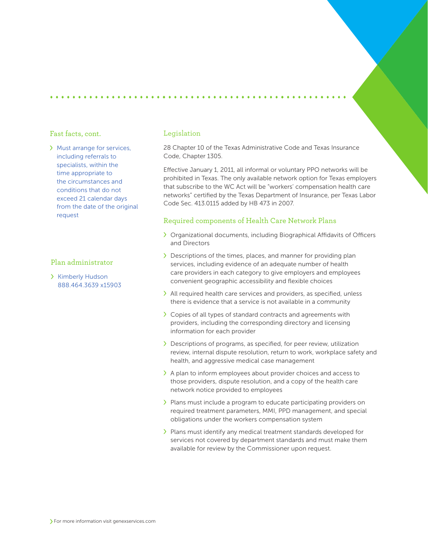#### Fast facts, cont.

Must arrange for services, including referrals to specialists, within the time appropriate to the circumstances and conditions that do not exceed 21 calendar days from the date of the original request

### Plan administrator

> Kimberly Hudson 888.464.3639 x15903

#### Legislation

28 Chapter 10 of the Texas Administrative Code and Texas Insurance Code, Chapter 1305.

Effective January 1, 2011, all informal or voluntary PPO networks will be prohibited in Texas. The only available network option for Texas employers that subscribe to the WC Act will be "workers' compensation health care networks" certified by the Texas Department of Insurance, per Texas Labor Code Sec. 413.0115 added by HB 473 in 2007.

#### Required components of Health Care Network Plans

- Organizational documents, including Biographical Affidavits of Officers and Directors
- Descriptions of the times, places, and manner for providing plan services, including evidence of an adequate number of health care providers in each category to give employers and employees convenient geographic accessibility and flexible choices
- All required health care services and providers, as specified, unless there is evidence that a service is not available in a community
- Copies of all types of standard contracts and agreements with providers, including the corresponding directory and licensing information for each provider
- Descriptions of programs, as specified, for peer review, utilization review, internal dispute resolution, return to work, workplace safety and health, and aggressive medical case management
- A plan to inform employees about provider choices and access to those providers, dispute resolution, and a copy of the health care network notice provided to employees
- > Plans must include a program to educate participating providers on required treatment parameters, MMI, PPD management, and special obligations under the workers compensation system
- Plans must identify any medical treatment standards developed for services not covered by department standards and must make them available for review by the Commissioner upon request.